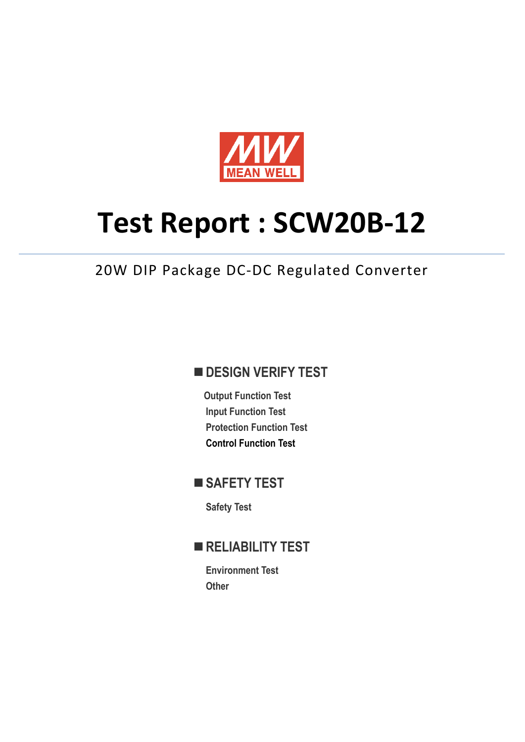

# **Test Report : SCW20B-12**

## 20W DIP Package DC-DC Regulated Converter

## **DESIGN VERIFY TEST**

**Output Function Test Input Function Test Protection Function Test Control Function Test**

# ■ SAFETY TEST

**Safety Test** 

## **RELIABILITY TEST**

**Environment Test Other**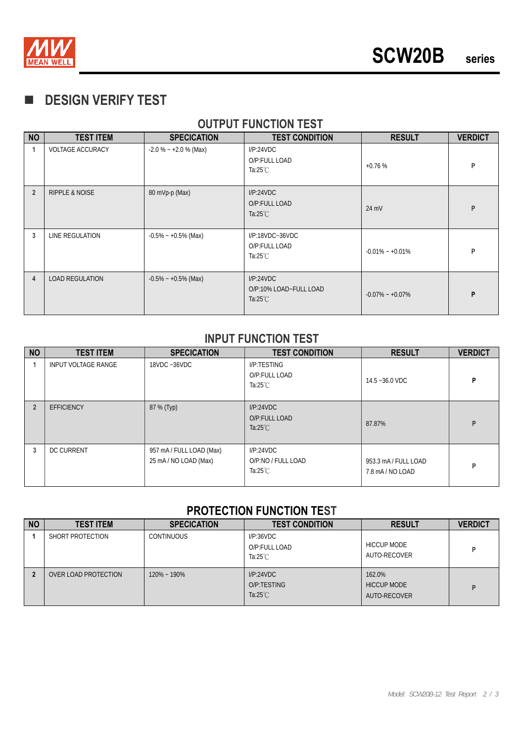

## **DESIGN VERIFY TEST**

### **OUTPUT FUNCTION TEST**

| <b>NO</b>      | <b>TEST ITEM</b>          | <b>SPECICATION</b>      | <b>TEST CONDITION</b>                                     | <b>RESULT</b>       | <b>VERDICT</b> |
|----------------|---------------------------|-------------------------|-----------------------------------------------------------|---------------------|----------------|
| 1              | <b>VOLTAGE ACCURACY</b>   | $-2.0\% - +2.0\%$ (Max) | I/P:24VDC<br>O/P:FULL LOAD<br>Ta:25 $°C$                  | $+0.76%$            | P              |
| $\overline{2}$ | <b>RIPPLE &amp; NOISE</b> | 80 mVp-p (Max)          | I/P:24VDC<br>O/P:FULL LOAD<br>Ta: $25^{\circ}$ C          | 24 mV               | P              |
| 3              | LINE REGULATION           | $-0.5\% - +0.5\%$ (Max) | $I/P:18VDC-36VDC$<br>O/P:FULL LOAD<br>Ta: $25^{\circ}$ C  | $-0.01\% - +0.01\%$ | P              |
| 4              | <b>LOAD REGULATION</b>    | $-0.5\% - +0.5\%$ (Max) | I/P:24VDC<br>O/P:10% LOAD~FULL LOAD<br>Ta: $25^{\circ}$ C | $-0.07\% - +0.07\%$ | P              |

#### **INPUT FUNCTION TEST**

| <b>NO</b>      | <b>TEST ITEM</b>           | <b>SPECICATION</b>                                | <b>TEST CONDITION</b>                                 | <b>RESULT</b>                            | <b>VERDICT</b> |
|----------------|----------------------------|---------------------------------------------------|-------------------------------------------------------|------------------------------------------|----------------|
|                | <b>INPUT VOLTAGE RANGE</b> | 18VDC ~36VDC                                      | I/P:TESTING<br>O/P:FULL LOAD<br>Ta: $25^{\circ}$ C    | 14.5~36.0 VDC                            | P              |
| $\overline{2}$ | <b>EFFICIENCY</b>          | 87 % (Typ)                                        | I/P:24VDC<br>O/P:FULL LOAD<br>Ta: $25^{\circ}$ C      | 87.87%                                   | P              |
| 3              | <b>DC CURRENT</b>          | 957 mA / FULL LOAD (Max)<br>25 mA / NO LOAD (Max) | I/P:24VDC<br>O/P:NO / FULL LOAD<br>Ta: $25^{\circ}$ C | 953.3 mA / FULL LOAD<br>7.8 mA / NO LOAD | P              |

#### **PROTECTION FUNCTION TEST**

| <b>NO</b> | <b>TEST ITEM</b>     | <b>SPECICATION</b> | <b>TEST CONDITION</b>                            | <b>RESULT</b>                                | <b>VERDICT</b> |
|-----------|----------------------|--------------------|--------------------------------------------------|----------------------------------------------|----------------|
|           | SHORT PROTECTION     | <b>CONTINUOUS</b>  | I/P:36VDC<br>O/P:FULL LOAD<br>Ta: $25^{\circ}$ C | <b>HICCUP MODE</b><br>AUTO-RECOVER           | D              |
|           | OVER LOAD PROTECTION | $120\% - 190\%$    | I/P:24VDC<br>O/P:TESTING<br>Ta: $25^{\circ}$ C   | 162.0%<br><b>HICCUP MODE</b><br>AUTO-RECOVER | D              |